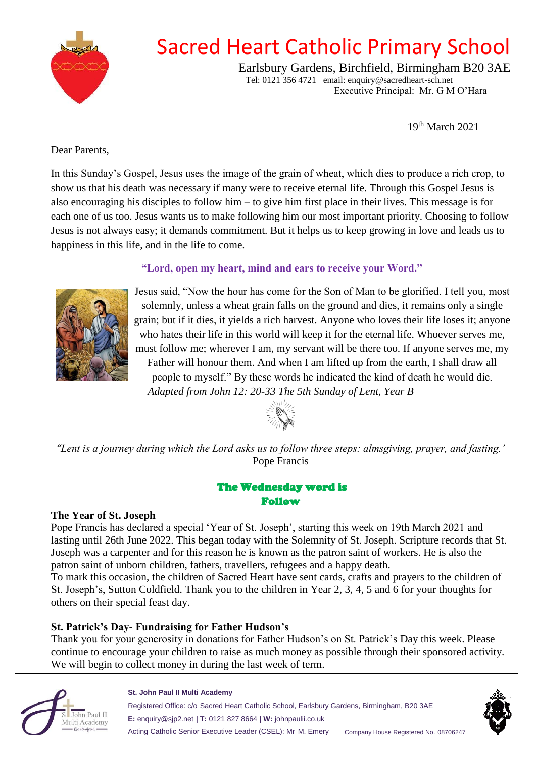

## Sacred Heart Catholic Primary School

Earlsbury Gardens, Birchfield, Birmingham B20 3AE Tel: 0121 356 4721 email: enquiry@sacredheart-sch.net Executive Principal: Mr. G M O'Hara

19th March 2021

Dear Parents,

In this Sunday's Gospel, Jesus uses the image of the grain of wheat, which dies to produce a rich crop, to show us that his death was necessary if many were to receive eternal life. Through this Gospel Jesus is also encouraging his disciples to follow him – to give him first place in their lives. This message is for each one of us too. Jesus wants us to make following him our most important priority. Choosing to follow Jesus is not always easy; it demands commitment. But it helps us to keep growing in love and leads us to happiness in this life, and in the life to come.

## **"Lord, open my heart, mind and ears to receive your Word."**



Jesus said, "Now the hour has come for the Son of Man to be glorified. I tell you, most solemnly, unless a wheat grain falls on the ground and dies, it remains only a single grain; but if it dies, it yields a rich harvest. Anyone who loves their life loses it; anyone who hates their life in this world will keep it for the eternal life. Whoever serves me, must follow me; wherever I am, my servant will be there too. If anyone serves me, my Father will honour them. And when I am lifted up from the earth, I shall draw all people to myself." By these words he indicated the kind of death he would die. *Adapted from John 12: 20-33 The 5th Sunday of Lent, Year B*



*"Lent is a journey during which the Lord asks us to follow three steps: almsgiving, prayer, and fasting.'* Pope Francis

## The Wednesday word is Follow

#### **The Year of St. Joseph**

Pope Francis has declared a special 'Year of St. Joseph', starting this week on 19th March 2021 and lasting until 26th June 2022. This began today with the Solemnity of St. Joseph. Scripture records that St. Joseph was a carpenter and for this reason he is known as the patron saint of workers. He is also the patron saint of unborn children, fathers, travellers, refugees and a happy death.

To mark this occasion, the children of Sacred Heart have sent cards, crafts and prayers to the children of St. Joseph's, Sutton Coldfield. Thank you to the children in Year 2, 3, 4, 5 and 6 for your thoughts for others on their special feast day.

## **St. Patrick's Day- Fundraising for Father Hudson's**

Thank you for your generosity in donations for Father Hudson's on St. Patrick's Day this week. Please continue to encourage your children to raise as much money as possible through their sponsored activity. We will begin to collect money in during the last week of term.



#### **St. John Paul II Multi Academy**

Registered Office: c/o Sacred Heart Catholic School, Earlsbury Gardens, Birmingham, B20 3AE **E:** enquiry@sjp2.net | **T:** 0121 827 8664 | **W:** johnpaulii.co.uk Acting Catholic Senior Executive Leader (CSEL): Mr M. Emery Company House Registered No. 08706247

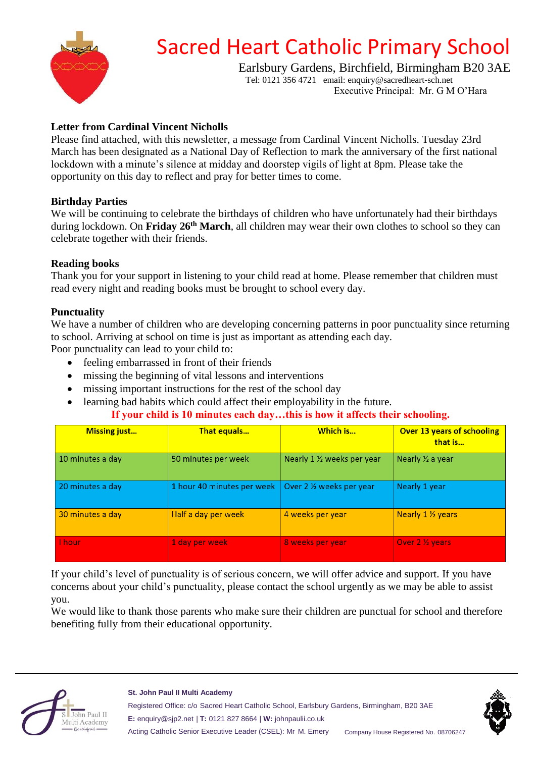

# Sacred Heart Catholic Primary School

Earlsbury Gardens, Birchfield, Birmingham B20 3AE Tel: 0121 356 4721 email: enquiry@sacredheart-sch.net

Executive Principal: Mr. G M O'Hara

## **Letter from Cardinal Vincent Nicholls**

Please find attached, with this newsletter, a message from Cardinal Vincent Nicholls. Tuesday 23rd March has been designated as a National Day of Reflection to mark the anniversary of the first national lockdown with a minute's silence at midday and doorstep vigils of light at 8pm. Please take the opportunity on this day to reflect and pray for better times to come.

## **Birthday Parties**

We will be continuing to celebrate the birthdays of children who have unfortunately had their birthdays during lockdown. On **Friday 26th March**, all children may wear their own clothes to school so they can celebrate together with their friends.

## **Reading books**

Thank you for your support in listening to your child read at home. Please remember that children must read every night and reading books must be brought to school every day.

#### **Punctuality**

We have a number of children who are developing concerning patterns in poor punctuality since returning to school. Arriving at school on time is just as important as attending each day.

Poor punctuality can lead to your child to:

- feeling embarrassed in front of their friends
- missing the beginning of vital lessons and interventions
- missing important instructions for the rest of the school day
- learning bad habits which could affect their employability in the future.

**If your child is 10 minutes each day…this is how it affects their schooling.**

| <b>Missing just</b> | <b>That equals</b>         | Which is                    | <b>Over 13 years of schooling</b><br>that is |
|---------------------|----------------------------|-----------------------------|----------------------------------------------|
| 10 minutes a day    | 50 minutes per week        | Nearly 1 1/2 weeks per year | Nearly 1/2 a year                            |
| 20 minutes a day    | 1 hour 40 minutes per week | Over 2 % weeks per year     | Nearly 1 year                                |
| 30 minutes a day    | Half a day per week        | 4 weeks per year            | <b>Nearly 1 1/<sub>2</sub> years</b>         |
| I hour              | 1 day per week             | 8 weeks per year            | Over 2 ½ years                               |

If your child's level of punctuality is of serious concern, we will offer advice and support. If you have concerns about your child's punctuality, please contact the school urgently as we may be able to assist you.

We would like to thank those parents who make sure their children are punctual for school and therefore benefiting fully from their educational opportunity.